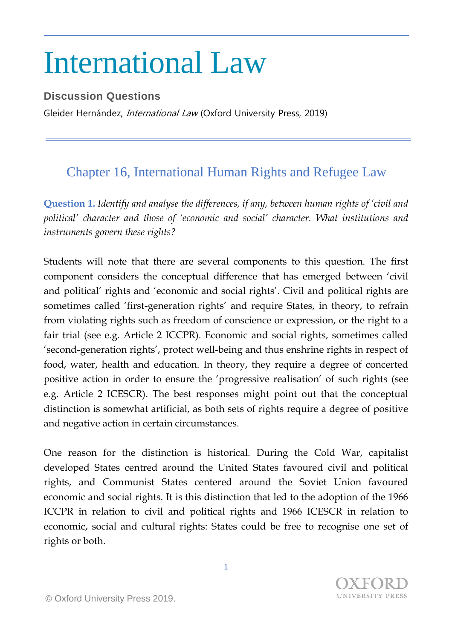## International Law

## **Discussion Questions**

Gleider Hernández, *International Law* (Oxford University Press, 2019)

## Chapter 16, International Human Rights and Refugee Law

**Question 1.** *Identify and analyse the differences, if any, between human rights of 'civil and political' character and those of 'economic and social' character. What institutions and instruments govern these rights?*

Students will note that there are several components to this question. The first component considers the conceptual difference that has emerged between 'civil and political' rights and 'economic and social rights'. Civil and political rights are sometimes called 'first-generation rights' and require States, in theory, to refrain from violating rights such as freedom of conscience or expression, or the right to a fair trial (see e.g. Article 2 ICCPR). Economic and social rights, sometimes called 'second-generation rights', protect well-being and thus enshrine rights in respect of food, water, health and education. In theory, they require a degree of concerted positive action in order to ensure the 'progressive realisation' of such rights (see e.g. Article 2 ICESCR). The best responses might point out that the conceptual distinction is somewhat artificial, as both sets of rights require a degree of positive and negative action in certain circumstances.

One reason for the distinction is historical. During the Cold War, capitalist developed States centred around the United States favoured civil and political rights, and Communist States centered around the Soviet Union favoured economic and social rights. It is this distinction that led to the adoption of the 1966 ICCPR in relation to civil and political rights and 1966 ICESCR in relation to economic, social and cultural rights: States could be free to recognise one set of rights or both.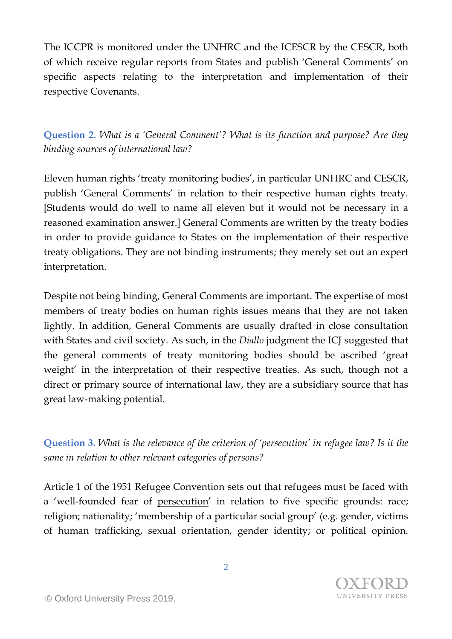The ICCPR is monitored under the UNHRC and the ICESCR by the CESCR, both of which receive regular reports from States and publish 'General Comments' on specific aspects relating to the interpretation and implementation of their respective Covenants.

**Question 2.** *What is a 'General Comment'? What is its function and purpose? Are they binding sources of international law?*

Eleven human rights 'treaty monitoring bodies', in particular UNHRC and CESCR, publish 'General Comments' in relation to their respective human rights treaty. [Students would do well to name all eleven but it would not be necessary in a reasoned examination answer.] General Comments are written by the treaty bodies in order to provide guidance to States on the implementation of their respective treaty obligations. They are not binding instruments; they merely set out an expert interpretation.

Despite not being binding, General Comments are important. The expertise of most members of treaty bodies on human rights issues means that they are not taken lightly. In addition, General Comments are usually drafted in close consultation with States and civil society. As such, in the *Diallo* judgment the ICJ suggested that the general comments of treaty monitoring bodies should be ascribed 'great weight' in the interpretation of their respective treaties. As such, though not a direct or primary source of international law, they are a subsidiary source that has great law-making potential.

**Question 3.** *What is the relevance of the criterion of 'persecution' in refugee law? Is it the same in relation to other relevant categories of persons?*

Article 1 of the 1951 Refugee Convention sets out that refugees must be faced with a 'well-founded fear of persecution' in relation to five specific grounds: race; religion; nationality; 'membership of a particular social group' (e.g. gender, victims of human trafficking, sexual orientation, gender identity; or political opinion.